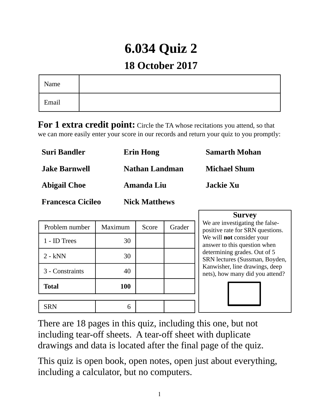# **6.034 Quiz 2**

## **18 October 2017**

| Name  |  |
|-------|--|
| Email |  |

**For 1 extra credit point:** Circle the TA whose recitations you attend, so that we can more easily enter your score in our records and return your quiz to you promptly:

| Suri Bandler             | <b>Erin Hong</b>     | <b>Samarth Mohan</b> |
|--------------------------|----------------------|----------------------|
| Jake Barnwell            | Nathan Landman       | <b>Michael Shum</b>  |
| <b>Abigail Choe</b>      | Amanda Liu           | Jackie Xu            |
| <b>Francesca Cicileo</b> | <b>Nick Matthews</b> |                      |

| Problem number  | Maximum | Score | Grader |
|-----------------|---------|-------|--------|
| 1 - ID Trees    | 30      |       |        |
| $2 - kNN$       | 30      |       |        |
| 3 - Constraints | 40      |       |        |
| <b>Total</b>    | 100     |       |        |
|                 |         |       |        |
| <b>SRN</b>      | 6       |       |        |

**Survey**

We are investigating the falsepositive rate for SRN questions. We will **not** consider your answer to this question when determining grades. Out of 5 SRN lectures (Sussman, Boyden, Kanwisher, line drawings, deep nets), how many did you attend?

There are 18 pages in this quiz, including this one, but not including tear-off sheets. A tear-off sheet with duplicate drawings and data is located after the final page of the quiz.

This quiz is open book, open notes, open just about everything, including a calculator, but no computers.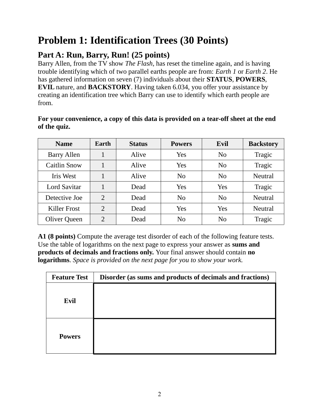## **Problem 1: Identification Trees (30 Points)**

## **Part A: Run, Barry, Run! (25 points)**

Barry Allen, from the TV show *The Flash*, has reset the timeline again, and is having trouble identifying which of two parallel earths people are from: *Earth 1* or *Earth 2*. He has gathered information on seven (7) individuals about their **STATUS**, **POWERS**, **EVIL** nature, and **BACKSTORY**. Having taken 6.034, you offer your assistance by creating an identification tree which Barry can use to identify which earth people are from.

#### **For your convenience, a copy of this data is provided on a tear-off sheet at the end of the quiz.**

| <b>Name</b>         | Earth | <b>Status</b> | <b>Powers</b>  | Evil           | <b>Backstory</b> |
|---------------------|-------|---------------|----------------|----------------|------------------|
| <b>Barry Allen</b>  |       | Alive         | Yes            | N <sub>0</sub> | Tragic           |
| Caitlin Snow        |       | Alive         | Yes            | N <sub>0</sub> | Tragic           |
| Iris West           |       | Alive         | N <sub>0</sub> | N <sub>0</sub> | <b>Neutral</b>   |
| <b>Lord Savitar</b> |       | Dead          | Yes            | Yes            | <b>Tragic</b>    |
| Detective Joe       | 2     | Dead          | N <sub>0</sub> | N <sub>0</sub> | <b>Neutral</b>   |
| <b>Killer Frost</b> | 2     | Dead          | Yes            | Yes            | <b>Neutral</b>   |
| <b>Oliver Queen</b> | 2     | Dead          | N <sub>0</sub> | N <sub>0</sub> | Tragic           |

**A1 (8 points)** Compute the average test disorder of each of the following feature tests. Use the table of logarithms on the next page to express your answer as **sums and products of decimals and fractions only.** Your final answer should contain **no logarithms**. *Space is provided on the next page for you to show your work.*

| <b>Feature Test</b> | Disorder (as sums and products of decimals and fractions) |
|---------------------|-----------------------------------------------------------|
| Evil                |                                                           |
| <b>Powers</b>       |                                                           |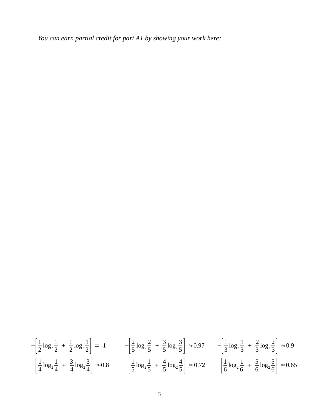*You can earn partial credit for part A1 by showing your work here:* 

$$
-\left[\frac{1}{2}\log_2\frac{1}{2} + \frac{1}{2}\log_2\frac{1}{2}\right] = 1 \qquad -\left[\frac{2}{5}\log_2\frac{2}{5} + \frac{3}{5}\log_2\frac{3}{5}\right] \approx 0.97 \qquad -\left[\frac{1}{3}\log_2\frac{1}{3} + \frac{2}{3}\log_2\frac{2}{3}\right] \approx 0.9
$$

$$
-\left[\frac{1}{4}\log_2\frac{1}{4} + \frac{3}{4}\log_2\frac{3}{4}\right] \approx 0.8 \qquad -\left[\frac{1}{5}\log_2\frac{1}{5} + \frac{4}{5}\log_2\frac{4}{5}\right] \approx 0.72 \qquad -\left[\frac{1}{6}\log_2\frac{1}{6} + \frac{5}{6}\log_2\frac{5}{6}\right] \approx 0.65
$$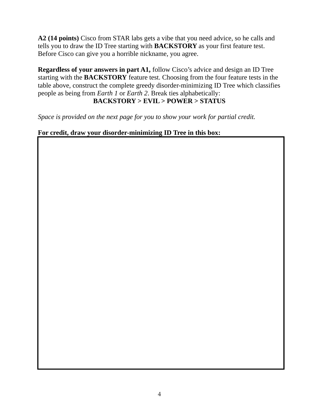**A2 (14 points)** Cisco from STAR labs gets a vibe that you need advice, so he calls and tells you to draw the ID Tree starting with **BACKSTORY** as your first feature test. Before Cisco can give you a horrible nickname, you agree.

**Regardless of your answers in part A1,** follow Cisco's advice and design an ID Tree starting with the **BACKSTORY** feature test. Choosing from the four feature tests in the table above, construct the complete greedy disorder-minimizing ID Tree which classifies people as being from *Earth 1* or *Earth 2*. Break ties alphabetically: **BACKSTORY > EVIL > POWER > STATUS**

*Space is provided on the next page for you to show your work for partial credit.*

**For credit, draw your disorder-minimizing ID Tree in this box:**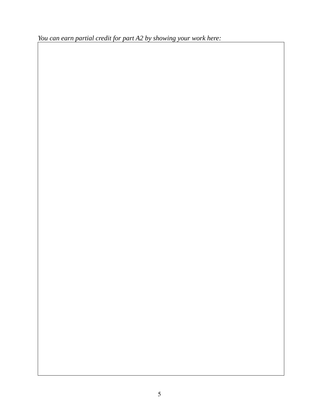*You can earn partial credit for part A2 by showing your work here:*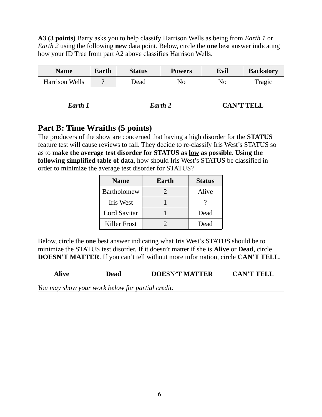**A3 (3 points)** Barry asks you to help classify Harrison Wells as being from *Earth 1* or *Earth 2* using the following **new** data point. Below, circle the **one** best answer indicating how your ID Tree from part A2 above classifies Harrison Wells.

| Name                  | Earth | Status | <b>Powers</b> | Evil | <b>Backstory</b> |
|-----------------------|-------|--------|---------------|------|------------------|
| <b>Harrison Wells</b> |       | Dead   | No            | No   | Tragic           |

| Earth 1 | Earth 2 | <b>CAN'T TELL</b> |
|---------|---------|-------------------|
|         |         |                   |

### **Part B: Time Wraiths (5 points)**

The producers of the show are concerned that having a high disorder for the **STATUS** feature test will cause reviews to fall. They decide to re-classify Iris West's STATUS so as to **make the average test disorder for STATUS as low as possible**. **Using the following simplified table of data**, how should Iris West's STATUS be classified in order to minimize the average test disorder for STATUS?

| <b>Name</b>         | Earth | <b>Status</b> |
|---------------------|-------|---------------|
| <b>Bartholomew</b>  |       | Alive         |
| <b>Iris West</b>    |       |               |
| <b>Lord Savitar</b> |       | Dead          |
| Killer Frost        |       | Dead          |

Below, circle the **one** best answer indicating what Iris West's STATUS should be to minimize the STATUS test disorder. If it doesn't matter if she is **Alive** or **Dead**, circle **DOESN'T MATTER**. If you can't tell without more information, circle **CAN'T TELL**.

**Alive Dead DOESN'T MATTER CAN'T TELL**

*You may show your work below for partial credit:*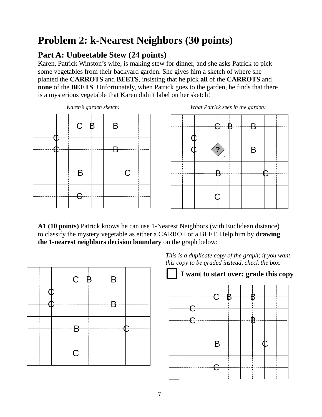## **Problem 2: k-Nearest Neighbors (30 points)**

## **Part A: Unbeetable Stew (24 points)**

Karen, Patrick Winston's wife, is making stew for dinner, and she asks Patrick to pick some vegetables from their backyard garden. She gives him a sketch of where she planted the **CARROTS** and **BEETS**, insisting that he pick **all** of the **CARROTS** and **none** of the **BEETS**. Unfortunately, when Patrick goes to the garden, he finds that there is a mysterious vegetable that Karen didn't label on her sketch!







**A1 (10 points)** Patrick knows he can use 1-Nearest Neighbors (with Euclidean distance) to classify the mystery vegetable as either a CARROT or a BEET. Help him by **drawing the 1-nearest neighbors decision boundary** on the graph below:



*This is a duplicate copy of the graph; if you want this copy to be graded instead, check the box:*

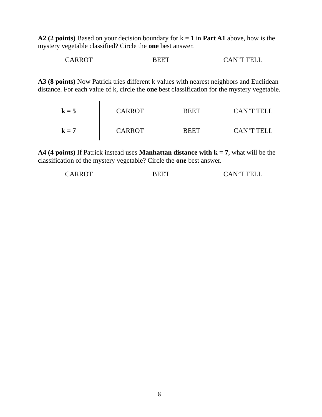**A2 (2 points)** Based on your decision boundary for k = 1 in **Part A1** above, how is the mystery vegetable classified? Circle the **one** best answer.

CARROT BEET CAN'T TELL

**A3 (8 points)** Now Patrick tries different k values with nearest neighbors and Euclidean distance. For each value of k, circle the **one** best classification for the mystery vegetable.

| $k = 5$ | <b>CARROT</b> | <b>REET</b> | CAN'T TELL |
|---------|---------------|-------------|------------|
| $k = 7$ | <b>CARROT</b> | <b>BEET</b> | CAN'T TELL |

**A4 (4 points)** If Patrick instead uses **Manhattan distance with k = 7**, what will be the classification of the mystery vegetable? Circle the **one** best answer.

| CARROT | BEET | <b>CAN'T TELL</b> |
|--------|------|-------------------|
|        |      |                   |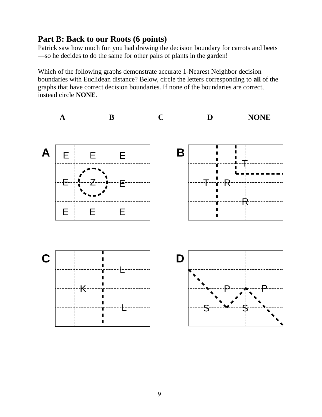### **Part B: Back to our Roots (6 points)**

Patrick saw how much fun you had drawing the decision boundary for carrots and beets —so he decides to do the same for other pairs of plants in the garden!

Which of the following graphs demonstrate accurate 1-Nearest Neighbor decision boundaries with Euclidean distance? Below, circle the letters corresponding to **all** of the graphs that have correct decision boundaries. If none of the boundaries are correct, instead circle **NONE**.

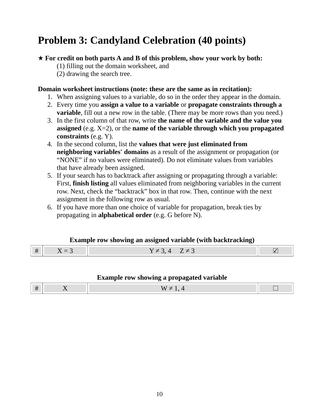## **Problem 3: Candyland Celebration (40 points)**

#### ★ **For credit on both parts A and B of this problem, show your work by both:**

(1) filling out the domain worksheet, and

(2) drawing the search tree.

#### **Domain worksheet instructions (note: these are the same as in recitation):**

- 1. When assigning values to a variable, do so in the order they appear in the domain.
- 2. Every time you **assign a value to a variable** or **propagate constraints through a variable**, fill out a new row in the table. (There may be more rows than you need.)
- 3. In the first column of that row, write **the name of the variable and the value you assigned** (e.g. X=2), or the **name of the variable through which you propagated constraints** (e.g. Y).
- 4. In the second column, list the **values that were just eliminated from neighboring variables' domains** as a result of the assignment or propagation (or "NONE" if no values were eliminated). Do not eliminate values from variables that have already been assigned.
- 5. If your search has to backtrack after assigning or propagating through a variable: First, **finish listing** all values eliminated from neighboring variables in the current row. Next, check the "backtrack" box in that row. Then, continue with the next assignment in the following row as usual.
- 6. If you have more than one choice of variable for propagation, break ties by propagating in **alphabetical order** (e.g. G before N).

#### **Example row showing an assigned variable (with backtracking)**

#### **Example row showing a propagated variable**

|--|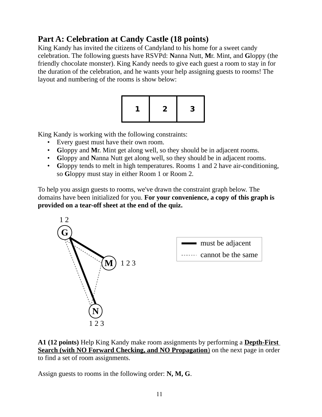## **Part A: Celebration at Candy Castle (18 points)**

King Kandy has invited the citizens of Candyland to his home for a sweet candy celebration. The following guests have RSVPd: **N**anna Nutt, **M**r. Mint, and **G**loppy (the friendly chocolate monster). King Kandy needs to give each guest a room to stay in for the duration of the celebration, and he wants your help assigning guests to rooms! The layout and numbering of the rooms is show below:



King Kandy is working with the following constraints:

- Every guest must have their own room.
- **G**loppy and **M**r. Mint get along well, so they should be in adjacent rooms.
- **G**loppy and **N**anna Nutt get along well, so they should be in adjacent rooms.
- **G**loppy tends to melt in high temperatures. Rooms 1 and 2 have air-conditioning, so **G**loppy must stay in either Room 1 or Room 2.

To help you assign guests to rooms, we've drawn the constraint graph below. The domains have been initialized for you. **For your convenience, a copy of this graph is provided on a tear-off sheet at the end of the quiz.**



**A1 (12 points)** Help King Kandy make room assignments by performing a **Depth-First Search (with NO Forward Checking, and NO Propagation)** on the next page in order to find a set of room assignments.

Assign guests to rooms in the following order: **N, M, G**.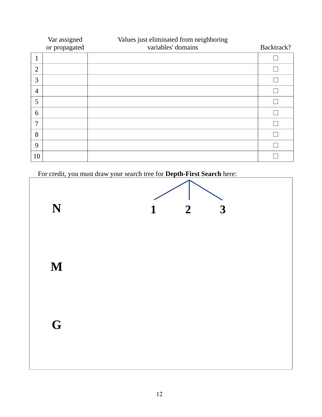|                | Var assigned<br>or propagated | Values just eliminated from neighboring<br>variables' domains | Backtrack? |
|----------------|-------------------------------|---------------------------------------------------------------|------------|
| $\mathbf{1}$   |                               |                                                               |            |
| $\overline{2}$ |                               |                                                               |            |
| 3              |                               |                                                               |            |
| $\overline{4}$ |                               |                                                               |            |
| 5              |                               |                                                               |            |
| 6              |                               |                                                               |            |
| 7              |                               |                                                               |            |
| 8              |                               |                                                               |            |
| 9              |                               |                                                               |            |
| 10             |                               |                                                               |            |

For credit, you must draw your search tree for **Depth-First Search** here:

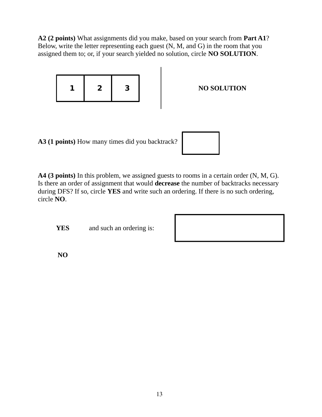**A2 (2 points)** What assignments did you make, based on your search from **Part A1**? Below, write the letter representing each guest (N, M, and G) in the room that you assigned them to; or, if your search yielded no solution, circle **NO SOLUTION**.



**A4 (3 points)** In this problem, we assigned guests to rooms in a certain order (N, M, G). Is there an order of assignment that would **decrease** the number of backtracks necessary during DFS? If so, circle **YES** and write such an ordering. If there is no such ordering, circle **NO**.

**YES** and such an ordering is:

**NO**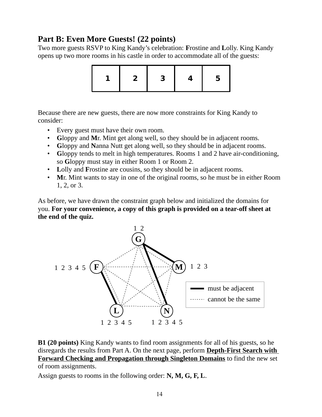### **Part B: Even More Guests! (22 points)**

Two more guests RSVP to King Kandy's celebration: **F**rostine and **L**olly. King Kandy opens up two more rooms in his castle in order to accommodate all of the guests:



Because there are new guests, there are now more constraints for King Kandy to consider:

- Every guest must have their own room.
- **G**loppy and **M**r. Mint get along well, so they should be in adjacent rooms.
- **G**loppy and **N**anna Nutt get along well, so they should be in adjacent rooms.
- **G**loppy tends to melt in high temperatures. Rooms 1 and 2 have air-conditioning, so **G**loppy must stay in either Room 1 or Room 2.
- **L**olly and **F**rostine are cousins, so they should be in adjacent rooms.
- **M**r. Mint wants to stay in one of the original rooms, so he must be in either Room 1, 2, or 3.

As before, we have drawn the constraint graph below and initialized the domains for you. **For your convenience, a copy of this graph is provided on a tear-off sheet at the end of the quiz.**



**B1 (20 points)** King Kandy wants to find room assignments for all of his guests, so he disregards the results from Part A. On the next page, perform **Depth-First Search with Forward Checking and Propagation through Singleton Domains** to find the new set of room assignments.

Assign guests to rooms in the following order: **N, M, G, F, L**.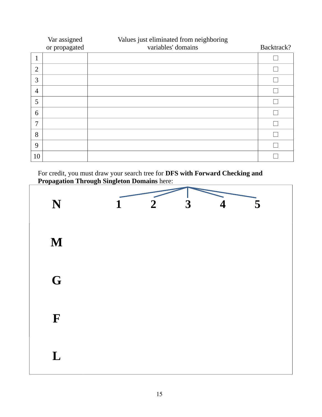|                | Var assigned<br>or propagated | Values just eliminated from neighboring<br>variables' domains | Backtrack? |
|----------------|-------------------------------|---------------------------------------------------------------|------------|
| 1              |                               |                                                               |            |
| $\overline{2}$ |                               |                                                               |            |
| 3              |                               |                                                               |            |
| $\overline{4}$ |                               |                                                               |            |
| 5              |                               |                                                               |            |
| 6              |                               |                                                               |            |
| 7              |                               |                                                               |            |
| 8              |                               |                                                               |            |
| 9              |                               |                                                               |            |
| 10             |                               |                                                               |            |

For credit, you must draw your search tree for **DFS with Forward Checking and Propagation Through Singleton Domains** here:

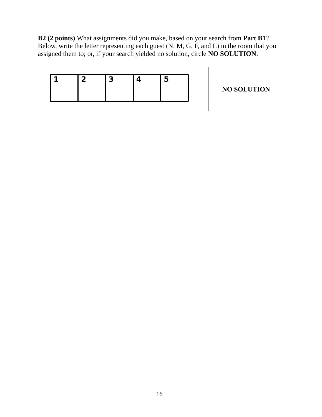**B2 (2 points)** What assignments did you make, based on your search from **Part B1**? Below, write the letter representing each guest (N, M, G, F, and L) in the room that you assigned them to; or, if your search yielded no solution, circle **NO SOLUTION**.

**NO SOLUTION**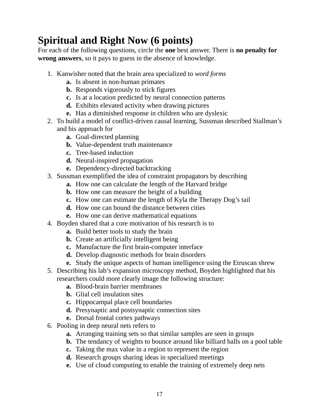## **Spiritual and Right Now (6 points)**

For each of the following questions, circle the **one** best answer. There is **no penalty for wrong answers**, so it pays to guess in the absence of knowledge.

- 1. Kanwisher noted that the brain area specialized to *word forms*
	- **a.** Is absent in non-human primates
	- **b.** Responds vigorously to stick figures
	- **c.** Is at a location predicted by neural connection patterns
	- **d.** Exhibits elevated activity when drawing pictures
	- **e.** Has a diminished response in children who are dyslexic
- 2. To build a model of conflict-driven causal learning, Sussman described Stallman's and his approach for
	- **a.** Goal-directed planning
	- **b.** Value-dependent truth maintenance
	- **c.** Tree-based induction
	- **d.** Neural-inspired propagation
	- **e.** Dependency-directed backtracking
- 3. Sussman exemplified the idea of constraint propagators by describing
	- **a.** How one can calculate the length of the Harvard bridge
	- **b.** How one can measure the height of a building
	- **c.** How one can estimate the length of Kyla the Therapy Dog's tail
	- **d.** How one can bound the distance between cities
	- **e.** How one can derive mathematical equations
- 4. Boyden shared that a core motivation of his research is to
	- **a.** Build better tools to study the brain
	- **b.** Create an artificially intelligent being
	- **c.** Manufacture the first brain-computer interface
	- **d.** Develop diagnostic methods for brain disorders
	- **e.** Study the unique aspects of human intelligence using the Etruscan shrew
- 5. Describing his lab's expansion microscopy method, Boyden highlighted that his researchers could more clearly image the following structure:
	- **a.** Blood-brain barrier membranes
	- **b.** Glial cell insulation sites
	- **c.** Hippocampal place cell boundaries
	- **d.** Presynaptic and postsynaptic connection sites
	- **e.** Dorsal frontal cortex pathways
- 6. Pooling in deep neural nets refers to
	- **a.** Arranging training sets so that similar samples are seen in groups
	- **b.** The tendancy of weights to bounce around like billiard balls on a pool table
	- **c.** Taking the max value in a region to represent the region
	- **d.** Research groups sharing ideas in specialized meetings
	- **e.** Use of cloud computing to enable the training of extremely deep nets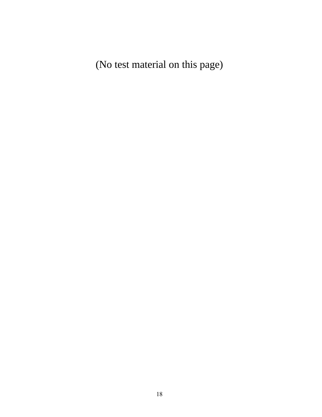(No test material on this page)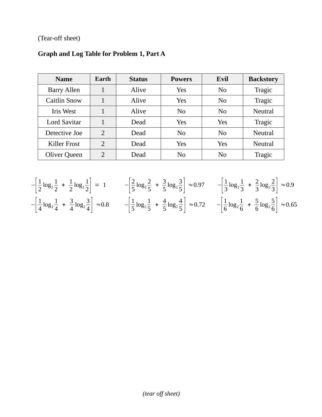(Tear-off sheet)

| <b>Name</b>         | Earth          | <b>Status</b> | <b>Powers</b>  | Evil           | <b>Backstory</b> |
|---------------------|----------------|---------------|----------------|----------------|------------------|
| <b>Barry Allen</b>  | 1              | Alive         | Yes            | N <sub>0</sub> | Tragic           |
| Caitlin Snow        | 1              | Alive         | Yes            | N <sub>0</sub> | Tragic           |
| Iris West           | 1              | Alive         | N <sub>0</sub> | N <sub>0</sub> | <b>Neutral</b>   |
| <b>Lord Savitar</b> |                | Dead          | Yes            | Yes            | Tragic           |
| Detective Joe       | $\overline{2}$ | Dead          | N <sub>0</sub> | N <sub>0</sub> | <b>Neutral</b>   |
| <b>Killer Frost</b> | $\overline{2}$ | Dead          | Yes            | Yes            | <b>Neutral</b>   |
| <b>Oliver Queen</b> | $\overline{2}$ | Dead          | No             | N <sub>0</sub> | Tragic           |

## **Graph and Log Table for Problem 1, Part A**

$$
-\left[\frac{1}{2}\log_2\frac{1}{2} + \frac{1}{2}\log_2\frac{1}{2}\right] = 1 \qquad -\left[\frac{2}{5}\log_2\frac{2}{5} + \frac{3}{5}\log_2\frac{3}{5}\right] \approx 0.97 \qquad -\left[\frac{1}{3}\log_2\frac{1}{3} + \frac{2}{3}\log_2\frac{2}{3}\right] \approx 0.9
$$

$$
-\left[\frac{1}{4}\log_2\frac{1}{4} + \frac{3}{4}\log_2\frac{3}{4}\right] \approx 0.8 \qquad -\left[\frac{1}{5}\log_2\frac{1}{5} + \frac{4}{5}\log_2\frac{4}{5}\right] \approx 0.72 \qquad -\left[\frac{1}{6}\log_2\frac{1}{6} + \frac{5}{6}\log_2\frac{5}{6}\right] \approx 0.65
$$